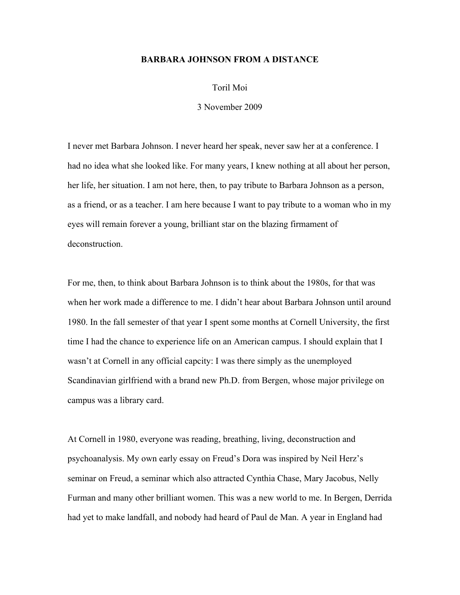## **BARBARA JOHNSON FROM A DISTANCE**

Toril Moi

3 November 2009

I never met Barbara Johnson. I never heard her speak, never saw her at a conference. I had no idea what she looked like. For many years, I knew nothing at all about her person, her life, her situation. I am not here, then, to pay tribute to Barbara Johnson as a person, as a friend, or as a teacher. I am here because I want to pay tribute to a woman who in my eyes will remain forever a young, brilliant star on the blazing firmament of deconstruction.

For me, then, to think about Barbara Johnson is to think about the 1980s, for that was when her work made a difference to me. I didn't hear about Barbara Johnson until around 1980. In the fall semester of that year I spent some months at Cornell University, the first time I had the chance to experience life on an American campus. I should explain that I wasn't at Cornell in any official capcity: I was there simply as the unemployed Scandinavian girlfriend with a brand new Ph.D. from Bergen, whose major privilege on campus was a library card.

At Cornell in 1980, everyone was reading, breathing, living, deconstruction and psychoanalysis. My own early essay on Freud's Dora was inspired by Neil Herz's seminar on Freud, a seminar which also attracted Cynthia Chase, Mary Jacobus, Nelly Furman and many other brilliant women. This was a new world to me. In Bergen, Derrida had yet to make landfall, and nobody had heard of Paul de Man. A year in England had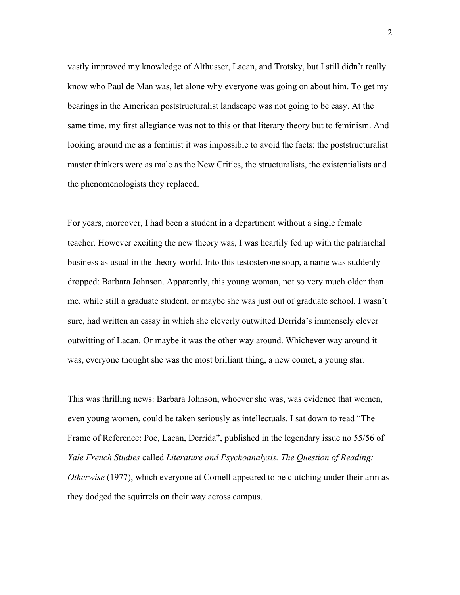vastly improved my knowledge of Althusser, Lacan, and Trotsky, but I still didn't really know who Paul de Man was, let alone why everyone was going on about him. To get my bearings in the American poststructuralist landscape was not going to be easy. At the same time, my first allegiance was not to this or that literary theory but to feminism. And looking around me as a feminist it was impossible to avoid the facts: the poststructuralist master thinkers were as male as the New Critics, the structuralists, the existentialists and the phenomenologists they replaced.

For years, moreover, I had been a student in a department without a single female teacher. However exciting the new theory was, I was heartily fed up with the patriarchal business as usual in the theory world. Into this testosterone soup, a name was suddenly dropped: Barbara Johnson. Apparently, this young woman, not so very much older than me, while still a graduate student, or maybe she was just out of graduate school, I wasn't sure, had written an essay in which she cleverly outwitted Derrida's immensely clever outwitting of Lacan. Or maybe it was the other way around. Whichever way around it was, everyone thought she was the most brilliant thing, a new comet, a young star.

This was thrilling news: Barbara Johnson, whoever she was, was evidence that women, even young women, could be taken seriously as intellectuals. I sat down to read "The Frame of Reference: Poe, Lacan, Derrida", published in the legendary issue no 55/56 of *Yale French Studies* called *Literature and Psychoanalysis. The Question of Reading: Otherwise* (1977), which everyone at Cornell appeared to be clutching under their arm as they dodged the squirrels on their way across campus.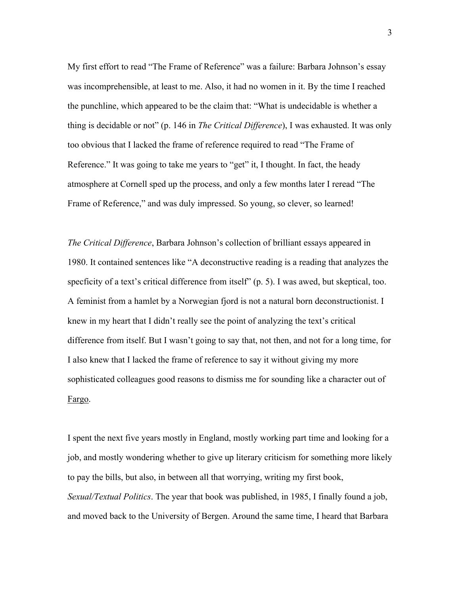My first effort to read "The Frame of Reference" was a failure: Barbara Johnson's essay was incomprehensible, at least to me. Also, it had no women in it. By the time I reached the punchline, which appeared to be the claim that: "What is undecidable is whether a thing is decidable or not" (p. 146 in *The Critical Difference*), I was exhausted. It was only too obvious that I lacked the frame of reference required to read "The Frame of Reference." It was going to take me years to "get" it, I thought. In fact, the heady atmosphere at Cornell sped up the process, and only a few months later I reread "The Frame of Reference," and was duly impressed. So young, so clever, so learned!

*The Critical Difference*, Barbara Johnson's collection of brilliant essays appeared in 1980. It contained sentences like "A deconstructive reading is a reading that analyzes the specficity of a text's critical difference from itself" (p. 5). I was awed, but skeptical, too. A feminist from a hamlet by a Norwegian fjord is not a natural born deconstructionist. I knew in my heart that I didn't really see the point of analyzing the text's critical difference from itself. But I wasn't going to say that, not then, and not for a long time, for I also knew that I lacked the frame of reference to say it without giving my more sophisticated colleagues good reasons to dismiss me for sounding like a character out of Fargo.

I spent the next five years mostly in England, mostly working part time and looking for a job, and mostly wondering whether to give up literary criticism for something more likely to pay the bills, but also, in between all that worrying, writing my first book, *Sexual/Textual Politics*. The year that book was published, in 1985, I finally found a job, and moved back to the University of Bergen. Around the same time, I heard that Barbara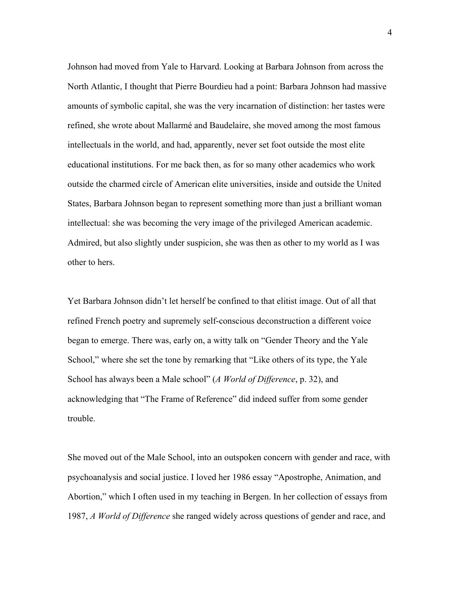Johnson had moved from Yale to Harvard. Looking at Barbara Johnson from across the North Atlantic, I thought that Pierre Bourdieu had a point: Barbara Johnson had massive amounts of symbolic capital, she was the very incarnation of distinction: her tastes were refined, she wrote about Mallarmé and Baudelaire, she moved among the most famous intellectuals in the world, and had, apparently, never set foot outside the most elite educational institutions. For me back then, as for so many other academics who work outside the charmed circle of American elite universities, inside and outside the United States, Barbara Johnson began to represent something more than just a brilliant woman intellectual: she was becoming the very image of the privileged American academic. Admired, but also slightly under suspicion, she was then as other to my world as I was other to hers.

Yet Barbara Johnson didn't let herself be confined to that elitist image. Out of all that refined French poetry and supremely self-conscious deconstruction a different voice began to emerge. There was, early on, a witty talk on "Gender Theory and the Yale School," where she set the tone by remarking that "Like others of its type, the Yale School has always been a Male school" (*A World of Difference*, p. 32), and acknowledging that "The Frame of Reference" did indeed suffer from some gender trouble.

She moved out of the Male School, into an outspoken concern with gender and race, with psychoanalysis and social justice. I loved her 1986 essay "Apostrophe, Animation, and Abortion," which I often used in my teaching in Bergen. In her collection of essays from 1987, *A World of Difference* she ranged widely across questions of gender and race, and